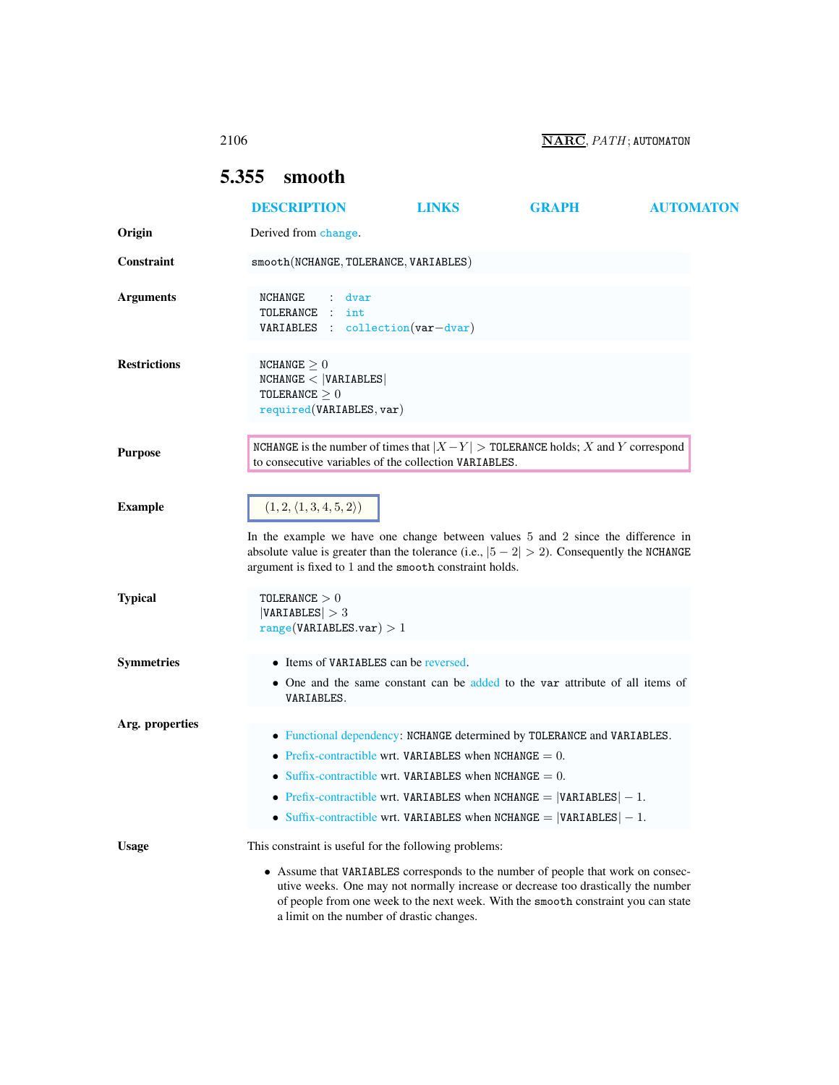2106 NARC, PATH; AUTOMATON

## <span id="page-0-0"></span>5.355 smooth

|                     | <b>DESCRIPTION</b>                                                                                                                                                                                                                                                                      | <b>LINKS</b>                                                                                                           | <b>GRAPH</b>                                                                                                                                                                                                                                                | <b>AUTOMATON</b> |
|---------------------|-----------------------------------------------------------------------------------------------------------------------------------------------------------------------------------------------------------------------------------------------------------------------------------------|------------------------------------------------------------------------------------------------------------------------|-------------------------------------------------------------------------------------------------------------------------------------------------------------------------------------------------------------------------------------------------------------|------------------|
| Origin              | Derived from change.                                                                                                                                                                                                                                                                    |                                                                                                                        |                                                                                                                                                                                                                                                             |                  |
| Constraint          | smooth(NCHANGE, TOLERANCE, VARIABLES)                                                                                                                                                                                                                                                   |                                                                                                                        |                                                                                                                                                                                                                                                             |                  |
| <b>Arguments</b>    | NCHANGE<br>dvar<br>TOLERANCE :<br>int<br>VARIABLES : collection(var-dvar)                                                                                                                                                                                                               |                                                                                                                        |                                                                                                                                                                                                                                                             |                  |
| <b>Restrictions</b> | NCHANGE $\geq 0$<br>NCHANGE <  VARIABLES <br>TOLERANCE $\geq 0$<br>required(VARIABLES, var)                                                                                                                                                                                             |                                                                                                                        |                                                                                                                                                                                                                                                             |                  |
| <b>Purpose</b>      | NCHANGE is the number of times that $ X - Y $ > TOLERANCE holds; X and Y correspond<br>to consecutive variables of the collection VARIABLES.                                                                                                                                            |                                                                                                                        |                                                                                                                                                                                                                                                             |                  |
| <b>Example</b>      | $(1, 2, \langle 1, 3, 4, 5, 2 \rangle)$<br>In the example we have one change between values 5 and 2 since the difference in<br>absolute value is greater than the tolerance (i.e., $ 5 - 2  > 2$ ). Consequently the NCHANGE<br>argument is fixed to 1 and the smooth constraint holds. |                                                                                                                        |                                                                                                                                                                                                                                                             |                  |
| <b>Typical</b>      | TOLERANCE $>0$<br> VARIABLES  > 3<br>range(VARIABLES.var) > 1                                                                                                                                                                                                                           |                                                                                                                        |                                                                                                                                                                                                                                                             |                  |
| <b>Symmetries</b>   | • Items of VARIABLES can be reversed.<br>VARIABLES.                                                                                                                                                                                                                                     |                                                                                                                        | • One and the same constant can be added to the var attribute of all items of                                                                                                                                                                               |                  |
| Arg. properties     |                                                                                                                                                                                                                                                                                         | • Prefix-contractible wrt. VARIABLES when NCHANGE $= 0$ .<br>• Suffix-contractible wrt. VARIABLES when NCHANGE $= 0$ . | • Functional dependency: NCHANGE determined by TOLERANCE and VARIABLES.<br>• Prefix-contractible wrt. VARIABLES when NCHANGE = $ VARIABLES  - 1$ .<br>Suffix-contractible wrt. VARIABLES when NCHANGE = $ VARTABLES  - 1$ .                                 |                  |
| <b>Usage</b>        | This constraint is useful for the following problems:<br>a limit on the number of drastic changes.                                                                                                                                                                                      |                                                                                                                        | • Assume that VARIABLES corresponds to the number of people that work on consec-<br>utive weeks. One may not normally increase or decrease too drastically the number<br>of people from one week to the next week. With the smooth constraint you can state |                  |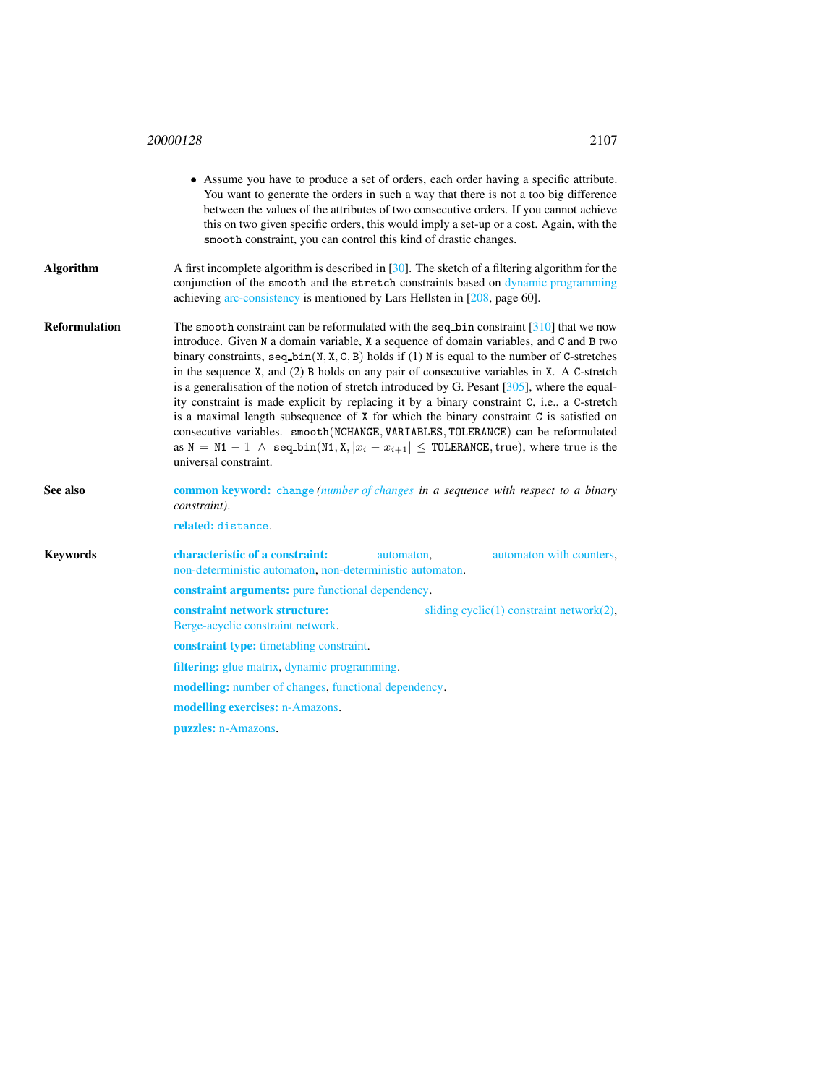## <sup>20000128</sup> 2107

|  | ۰,<br>× |  |
|--|---------|--|
|  |         |  |

<span id="page-1-0"></span>

|                      | • Assume you have to produce a set of orders, each order having a specific attribute.<br>You want to generate the orders in such a way that there is not a too big difference<br>between the values of the attributes of two consecutive orders. If you cannot achieve<br>this on two given specific orders, this would imply a set-up or a cost. Again, with the<br>smooth constraint, you can control this kind of drastic changes.                                                                                                                                                                                                                                                                                                                                                                                                                                                                        |  |  |  |  |
|----------------------|--------------------------------------------------------------------------------------------------------------------------------------------------------------------------------------------------------------------------------------------------------------------------------------------------------------------------------------------------------------------------------------------------------------------------------------------------------------------------------------------------------------------------------------------------------------------------------------------------------------------------------------------------------------------------------------------------------------------------------------------------------------------------------------------------------------------------------------------------------------------------------------------------------------|--|--|--|--|
| <b>Algorithm</b>     | A first incomplete algorithm is described in [30]. The sketch of a filtering algorithm for the<br>conjunction of the smooth and the stretch constraints based on dynamic programming<br>achieving arc-consistency is mentioned by Lars Hellsten in [208, page 60].                                                                                                                                                                                                                                                                                                                                                                                                                                                                                                                                                                                                                                           |  |  |  |  |
| <b>Reformulation</b> | The smooth constraint can be reformulated with the seq-bin constraint $[310]$ that we now<br>introduce. Given N a domain variable, X a sequence of domain variables, and C and B two<br>binary constraints, $seq\_bin(N, X, C, B)$ holds if (1) N is equal to the number of C-stretches<br>in the sequence $X$ , and $(2)$ B holds on any pair of consecutive variables in $X$ . A C-stretch<br>is a generalisation of the notion of stretch introduced by G. Pesant $[305]$ , where the equal-<br>ity constraint is made explicit by replacing it by a binary constraint C, i.e., a C-stretch<br>is a maximal length subsequence of X for which the binary constraint C is satisfied on<br>consecutive variables. smooth (NCHANGE, VARIABLES, TOLERANCE) can be reformulated<br>as $N = N1 - 1$ $\wedge$ seq.bin(N1, X, $ x_i - x_{i+1}  \leq$ TOLERANCE, true), where true is the<br>universal constraint. |  |  |  |  |
| See also             | <b>common keyword:</b> change (number of changes in a sequence with respect to a binary<br>constraint).                                                                                                                                                                                                                                                                                                                                                                                                                                                                                                                                                                                                                                                                                                                                                                                                      |  |  |  |  |
|                      | related: distance.                                                                                                                                                                                                                                                                                                                                                                                                                                                                                                                                                                                                                                                                                                                                                                                                                                                                                           |  |  |  |  |
| <b>Keywords</b>      | characteristic of a constraint:<br>automaton with counters,<br>automaton,<br>non-deterministic automaton, non-deterministic automaton.                                                                                                                                                                                                                                                                                                                                                                                                                                                                                                                                                                                                                                                                                                                                                                       |  |  |  |  |
|                      | <b>constraint arguments:</b> pure functional dependency.                                                                                                                                                                                                                                                                                                                                                                                                                                                                                                                                                                                                                                                                                                                                                                                                                                                     |  |  |  |  |
|                      | constraint network structure:<br>sliding $cyclic(1)$ constraint network $(2)$ ,<br>Berge-acyclic constraint network.                                                                                                                                                                                                                                                                                                                                                                                                                                                                                                                                                                                                                                                                                                                                                                                         |  |  |  |  |
|                      | constraint type: timetabling constraint.                                                                                                                                                                                                                                                                                                                                                                                                                                                                                                                                                                                                                                                                                                                                                                                                                                                                     |  |  |  |  |
|                      | <b>filtering:</b> glue matrix, dynamic programming.                                                                                                                                                                                                                                                                                                                                                                                                                                                                                                                                                                                                                                                                                                                                                                                                                                                          |  |  |  |  |
|                      | <b>modelling:</b> number of changes, functional dependency.                                                                                                                                                                                                                                                                                                                                                                                                                                                                                                                                                                                                                                                                                                                                                                                                                                                  |  |  |  |  |
|                      | modelling exercises: n-Amazons.                                                                                                                                                                                                                                                                                                                                                                                                                                                                                                                                                                                                                                                                                                                                                                                                                                                                              |  |  |  |  |
|                      | puzzles: n-Amazons.                                                                                                                                                                                                                                                                                                                                                                                                                                                                                                                                                                                                                                                                                                                                                                                                                                                                                          |  |  |  |  |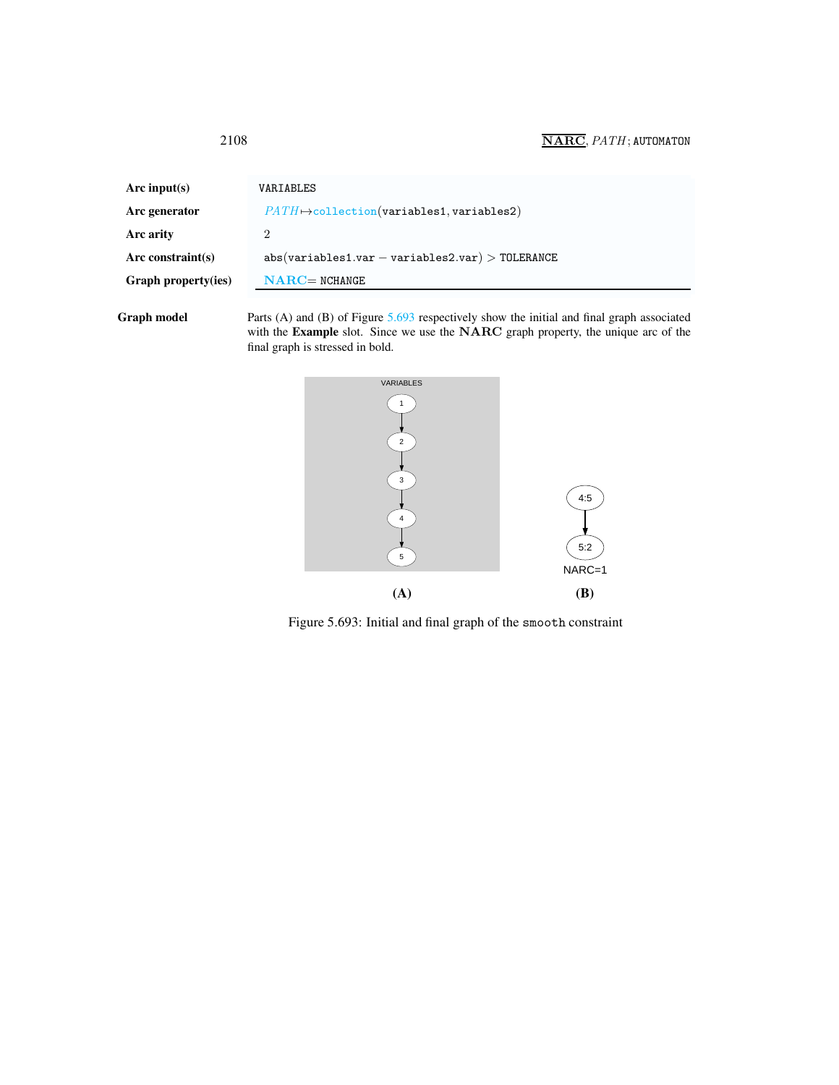<span id="page-2-0"></span>

| Arc input(s)        | VARIABLES                                             |
|---------------------|-------------------------------------------------------|
| Arc generator       | $PATH \rightarrow collection(variables1, variables2)$ |
| Arc arity           | $\overline{2}$                                        |
| Arc constraint(s)   | $abs(variables1.var - variables2.var) > TOLERANCE$    |
| Graph property(ies) | $NARC = NCHANGE$                                      |
|                     |                                                       |

Graph model Parts (A) and (B) of Figure [5.693](#page-2-1) respectively show the initial and final graph associated with the Example slot. Since we use the NARC graph property, the unique arc of the final graph is stressed in bold.



<span id="page-2-1"></span>Figure 5.693: Initial and final graph of the smooth constraint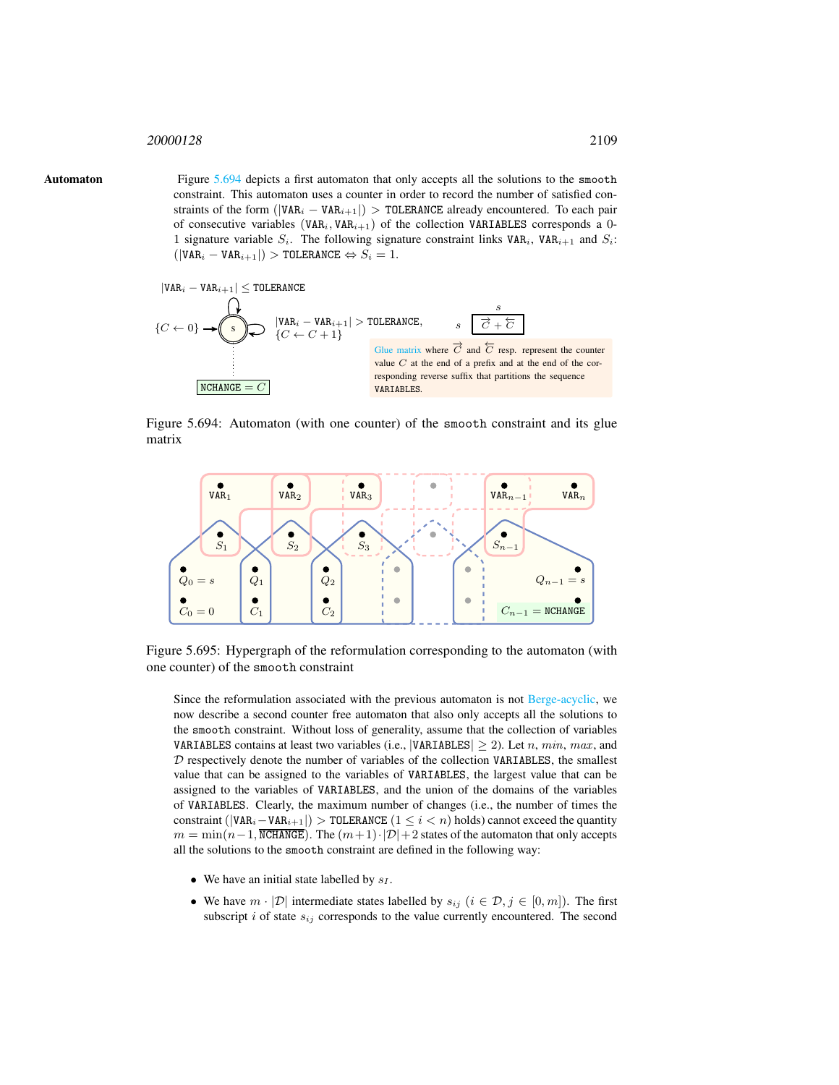## <span id="page-3-0"></span><sup>20000128</sup> 2109

Automaton Figure [5.694](#page-3-1) depicts a first automaton that only accepts all the solutions to the smooth constraint. This automaton uses a counter in order to record the number of satisfied constraints of the form ( $|VAR_i - VAR_{i+1}|$ ) > TOLERANCE already encountered. To each pair of consecutive variables (VAR<sub>i</sub>, VAR<sub>i+1</sub>) of the collection VARIABLES corresponds a 0-1 signature variable  $S_i$ . The following signature constraint links VAR<sub>i</sub>, VAR<sub>i+1</sub> and  $S_i$ :  $(|VAR_i - VAR_{i+1}|) > \text{TOLERANCE} \Leftrightarrow S_i = 1.$ 



<span id="page-3-1"></span>Figure 5.694: Automaton (with one counter) of the smooth constraint and its glue matrix



Figure 5.695: Hypergraph of the reformulation corresponding to the automaton (with one counter) of the smooth constraint

Since the reformulation associated with the previous automaton is not Berge-acyclic, we now describe a second counter free automaton that also only accepts all the solutions to the smooth constraint. Without loss of generality, assume that the collection of variables VARIABLES contains at least two variables (i.e., |VARIABLES|  $\geq$  2). Let n, min, max, and  $D$  respectively denote the number of variables of the collection VARIABLES, the smallest value that can be assigned to the variables of VARIABLES, the largest value that can be assigned to the variables of VARIABLES, and the union of the domains of the variables of VARIABLES. Clearly, the maximum number of changes (i.e., the number of times the constraint ( $|VAR_i - VAR_{i+1}|$ ) > TOLERANCE  $(1 \leq i < n)$  holds) cannot exceed the quantity  $m = \min(n-1, \overline{\text{NCHANGE}})$ . The  $(m+1) \cdot |\mathcal{D}| + 2$  states of the automaton that only accepts all the solutions to the smooth constraint are defined in the following way:

- We have an initial state labelled by  $s_I$ .
- We have  $m \cdot |\mathcal{D}|$  intermediate states labelled by  $s_{ij}$   $(i \in \mathcal{D}, j \in [0, m])$ . The first subscript  $i$  of state  $s_{ij}$  corresponds to the value currently encountered. The second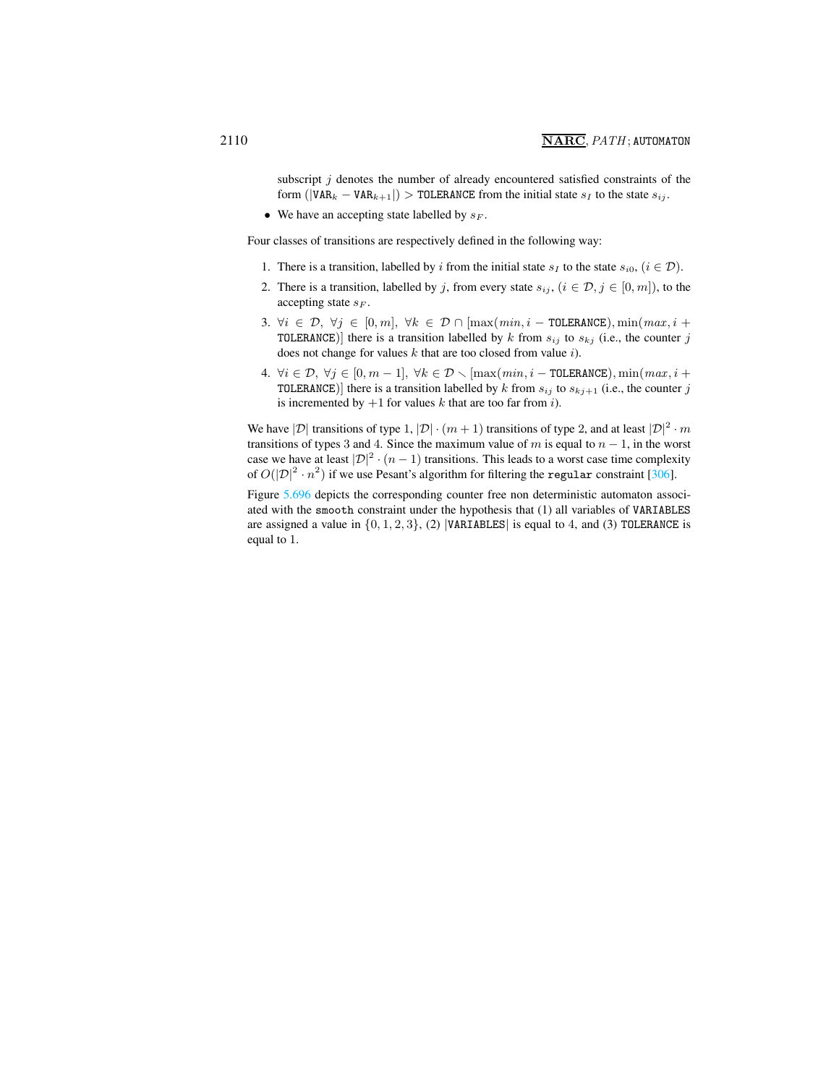subscript  $j$  denotes the number of already encountered satisfied constraints of the form ( $|VAR_k - VAR_{k+1}|$ ) > TOLERANCE from the initial state  $s_i$  to the state  $s_{ij}$ .

• We have an accepting state labelled by  $s_F$ .

Four classes of transitions are respectively defined in the following way:

- 1. There is a transition, labelled by i from the initial state  $s_I$  to the state  $s_{i0}$ ,  $(i \in \mathcal{D})$ .
- 2. There is a transition, labelled by j, from every state  $s_{ij}$ ,  $(i \in \mathcal{D}, j \in [0, m])$ , to the accepting state  $s_F$ .
- 3.  $\forall i \in \mathcal{D}, \forall j \in [0, m], \forall k \in \mathcal{D} \cap [\max(min, i \text{TOLERANCE}), \min(max, i +$ TOLERANCE)] there is a transition labelled by k from  $s_{ij}$  to  $s_{kj}$  (i.e., the counter j does not change for values  $k$  that are too closed from value  $i$ ).
- 4.  $\forall i \in \mathcal{D}, \forall j \in [0, m-1], \forall k \in \mathcal{D} \setminus [\max(min, i \text{TOLERANCE}), \min(max, i +$ TOLERANCE)] there is a transition labelled by k from  $s_{ij}$  to  $s_{kj+1}$  (i.e., the counter j is incremented by  $+1$  for values k that are too far from i).

We have  $|\mathcal{D}|$  transitions of type 1,  $|\mathcal{D}| \cdot (m+1)$  transitions of type 2, and at least  $|\mathcal{D}|^2 \cdot m$ transitions of types 3 and 4. Since the maximum value of m is equal to  $n - 1$ , in the worst case we have at least  $|\mathcal{D}|^2 \cdot (n-1)$  transitions. This leads to a worst case time complexity of  $O(|\mathcal{D}|^2 \cdot n^2)$  if we use Pesant's algorithm for filtering the regular constraint [306].

Figure [5.696](#page-5-0) depicts the corresponding counter free non deterministic automaton associated with the smooth constraint under the hypothesis that (1) all variables of VARIABLES are assigned a value in  $\{0, 1, 2, 3\}$ , (2) |VARIABLES| is equal to 4, and (3) TOLERANCE is equal to 1.